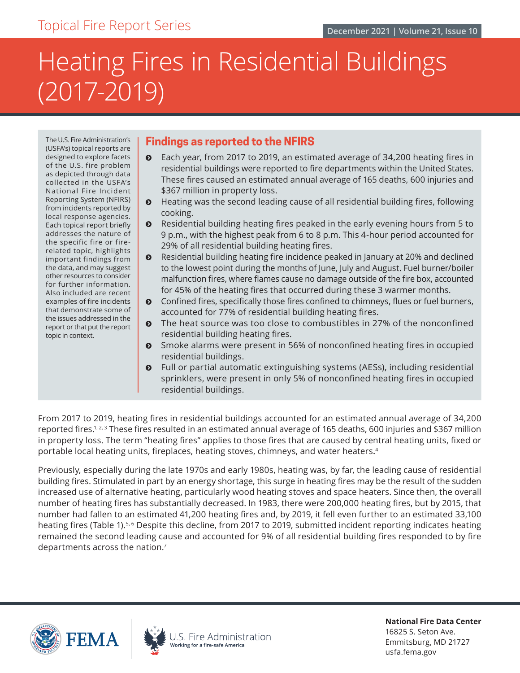# <span id="page-0-0"></span>Heating Fires in Residential Buildings (2017-2019)

The U.S. Fire Administration's (USFA's) topical reports are designed to explore facets of the U.S. fire problem as depicted through data collected in the USFA's National Fire Incident Reporting System (NFIRS) from incidents reported by local response agencies. Each topical report briefly addresses the nature of the specific fire or firerelated topic, highlights important findings from the data, and may suggest other resources to consider for further information. Also included are recent examples of fire incidents that demonstrate some of the issues addressed in the report or that put the report topic in context.

# **Findings as reported to the NFIRS**

- $\odot$  Each year, from 2017 to 2019, an estimated average of 34,200 heating fires in residential buildings were reported to fire departments within the United States. These fires caused an estimated annual average of 165 deaths, 600 injuries and \$367 million in property loss.
- $\bullet$  Heating was the second leading cause of all residential building fires, following cooking.
- $\odot$  Residential building heating fires peaked in the early evening hours from 5 to 9 p.m., with the highest peak from 6 to 8 p.m. This 4-hour period accounted for 29% of all residential building heating fires.
- $\odot$  Residential building heating fire incidence peaked in January at 20% and declined to the lowest point during the months of June, July and August. Fuel burner/boiler malfunction fires, where flames cause no damage outside of the fire box, accounted for 45% of the heating fires that occurred during these 3 warmer months.
- $\odot$  Confined fires, specifically those fires confined to chimneys, flues or fuel burners, accounted for 77% of residential building heating fires.
- **•** The heat source was too close to combustibles in 27% of the nonconfined residential building heating fires.
- **•** Smoke alarms were present in 56% of nonconfined heating fires in occupied residential buildings.
- ĵ Full or partial automatic extinguishing systems (AESs), including residential sprinklers, were present in only 5% of nonconfined heating fires in occupied residential buildings.

From 2017 to 2019, heating fires in residential buildings accounted for an estimated annual average of 34,200 reported fires.1,2,3 These fires resulted in an estimated annual average of 165 deaths, 600 injuries and \$367 million in property loss. The term "heating fires" applies to those fires that are caused by central heating units, fixed or portable local heating units, fireplaces, heating stoves, chimneys, and water heaters. [4](#page-13-0)

Previously, especially during the late 1970s and early 1980s, heating was, by far, the leading cause of residential building fires. Stimulated in part by an energy shortage, this surge in heating fires may be the result of the sudden increased use of alternative heating, particularly wood heating stoves and space heaters. Since then, the overall number of heating fires has substantially decreased. In 1983, there were 200,000 heating fires, but by 2015, that number had fallen to an estimated 41,200 heating fires and, by 2019, it fell even further to an estimated 33,100 heating fires (Table 1).<sup>5,6</sup> Despite this decline, from 2017 to 2019, submitted incident reporting indicates heating remained the second leading cause and accounted for 9% of all residential building fires responded to by fire departments across the nation[.7](#page-13-0)





**National Fire Data Center** 16825 S. Seton Ave. Emmitsburg, MD 21727 [usfa.fema.gov](http://www.usfa.fema.gov)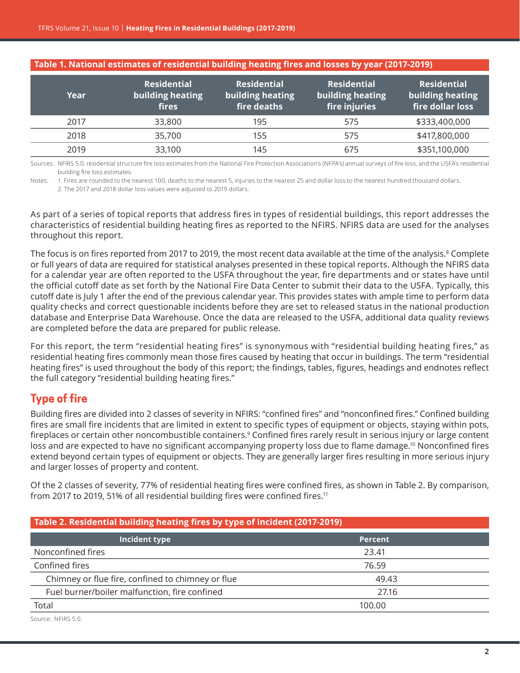<span id="page-1-0"></span>

| Table 1. National estimates of residential building heating fires and losses by year (2017-2019) $\,$ |  |
|-------------------------------------------------------------------------------------------------------|--|
|-------------------------------------------------------------------------------------------------------|--|

| Year | <b>Residential</b><br>building heating<br><b>fires</b> | <b>Residential</b><br>building heating<br>fire deaths | <b>Residential</b><br>building heating<br>fire injuries | <b>Residential</b><br>building heating<br>fire dollar loss |
|------|--------------------------------------------------------|-------------------------------------------------------|---------------------------------------------------------|------------------------------------------------------------|
| 2017 | 33,800                                                 | 195                                                   | 575                                                     | \$333,400,000                                              |
| 2018 | 35,700                                                 | 155                                                   | 575                                                     | \$417,800,000                                              |
| 2019 | 33,100                                                 | 145                                                   | 675                                                     | \$351,100,000                                              |

Sources: NFIRS 5.0, residential structure fire loss estimates from the National Fire Protection Association's (NFPA's) annual surveys of fire loss, and the USFA's residential building fire loss estimates.

Notes: 1. Fires are rounded to the nearest 100, deaths to the nearest 5, injuries to the nearest 25 and dollar loss to the nearest hundred thousand dollars.

 2. The 2017 and 2018 dollar loss values were adjusted to 2019 dollars.

As part of a series of topical reports that address fires in types of residential buildings, this report addresses the characteristics of residential building heating fires as reported to the NFIRS. NFIRS data are used for the analyses throughout this report.

The focus is on fires reported from 2017 to 2019, the most recent data available at the time of the analysis. $^{\rm 8}$  $^{\rm 8}$  $^{\rm 8}$  Complete or full years of data are required for statistical analyses presented in these topical reports. Although the NFIRS data for a calendar year are often reported to the USFA throughout the year, fire departments and or states have until the official cutoff date as set forth by the National Fire Data Center to submit their data to the USFA. Typically, this cutoff date is July 1 after the end of the previous calendar year. This provides states with ample time to perform data quality checks and correct questionable incidents before they are set to released status in the national production database and Enterprise Data Warehouse. Once the data are released to the USFA, additional data quality reviews are completed before the data are prepared for public release.

For this report, the term "residential heating fires" is synonymous with "residential building heating fires," as residential heating fires commonly mean those fires caused by heating that occur in buildings. The term "residential heating fires" is used throughout the body of this report; the findings, tables, figures, headings and endnotes reflect the full category "residential building heating fires."

# **Type of fire**

Building fires are divided into 2 classes of severity in NFIRS: "confined fires" and "nonconfined fires." Confined building fires are small fire incidents that are limited in extent to specific types of equipment or objects, staying within pots, fireplaces or certain other noncombustible containers.[9](#page-13-0) Confined fires rarely result in serious injury or large content loss and are expected to have no significant accompanying property loss due to flame damage.[10](#page-13-0) Nonconfined fires extend beyond certain types of equipment or objects. They are generally larger fires resulting in more serious injury and larger losses of property and content.

Of the 2 classes of severity, 77% of residential heating fires were confined fires, as shown in Table 2. By comparison, from 2017 to 2019, 51% of all residential building fires were confined fires.<sup>[11](#page-13-0)</sup>

| Table 2. Residential building heating fires by type of incident (2017-2019) |                |  |
|-----------------------------------------------------------------------------|----------------|--|
| Incident type                                                               | <b>Percent</b> |  |
| Nonconfined fires                                                           | 23.41          |  |
| Confined fires                                                              | 76.59          |  |
| Chimney or flue fire, confined to chimney or flue                           | 49.43          |  |
| Fuel burner/boiler malfunction, fire confined                               | 27.16          |  |
| Total                                                                       | 100.00         |  |

Source: NFIRS 5.0.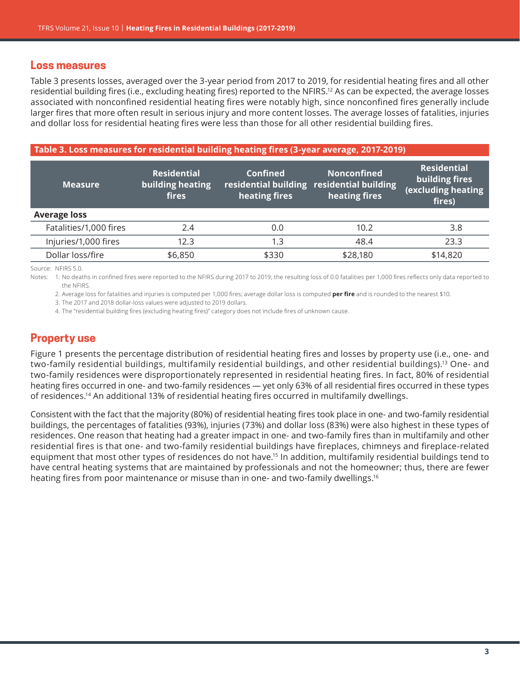#### <span id="page-2-0"></span>**Loss measures**

Table 3 presents losses, averaged over the 3-year period from 2017 to 2019, for residential heating fires and all other residential building fires (i.e., excluding heating fires) reported to the NFIRS.[12](#page-13-0) As can be expected, the average losses associated with nonconfined residential heating fires were notably high, since nonconfined fires generally include larger fires that more often result in serious injury and more content losses. The average losses of fatalities, injuries and dollar loss for residential heating fires were less than those for all other residential building fires.

#### **Table 3. Loss measures for residential building heating fires (3-year average, 2017-2019)**

| <b>Measure</b>         | <b>Residential</b><br>building heating<br>fires | Confined<br>heating fires | <b>Nonconfined</b><br>residential building residential building<br>heating fires | <b>Residential</b><br>building fires<br>(excluding heating<br>fires) |
|------------------------|-------------------------------------------------|---------------------------|----------------------------------------------------------------------------------|----------------------------------------------------------------------|
| <b>Average loss</b>    |                                                 |                           |                                                                                  |                                                                      |
| Fatalities/1,000 fires | 2.4                                             | 0.0                       | 10.2                                                                             | 3.8                                                                  |
| Injuries/1,000 fires   | 12.3                                            | 1.3                       | 48.4                                                                             | 23.3                                                                 |
| Dollar loss/fire       | \$6,850                                         | \$330                     | \$28,180                                                                         | \$14,820                                                             |

Source: NFIRS 5.0.

Notes: 1. No deaths in confined fires were reported to the NFIRS during 2017 to 2019; the resulting loss of 0.0 fatalities per 1,000 fires reflects only data reported to the NFIRS.

2. Average loss for fatalities and injuries is computed per 1,000 fires; average dollar loss is computed **per fire** and is rounded to the nearest \$10.

3. The 2017 and 2018 dollar-loss values were adjusted to 2019 dollars.

4. The "residential building fires (excluding heating fires)" category does not include fires of unknown cause.

# **Property use**

Figure 1 presents the percentage distribution of residential heating fires and losses by property use (i.e., one- and two-family residential buildings, multifamily residential buildings, and other residential buildings)[.13](#page-13-0) One- and two-family residences were disproportionately represented in residential heating fires. In fact, 80% of residential heating fires occurred in one- and two-family residences — yet only 63% of all residential fires occurred in these types of residences[.14](#page-13-0) An additional 13% of residential heating fires occurred in multifamily dwellings.

Consistent with the fact that the majority (80%) of residential heating fires took place in one- and two-family residential buildings, the percentages of fatalities (93%), injuries (73%) and dollar loss (83%) were also highest in these types of residences. One reason that heating had a greater impact in one- and two-family fires than in multifamily and other residential fires is that one- and two-family residential buildings have fireplaces, chimneys and fireplace-related equipment that most other types of residences do not have[.15](#page-13-0) In addition, multifamily residential buildings tend to have central heating systems that are maintained by professionals and not the homeowner; thus, there are fewer heating fires from poor maintenance or misuse than in one- and two-family dwellings.<sup>[16](#page-13-0)</sup>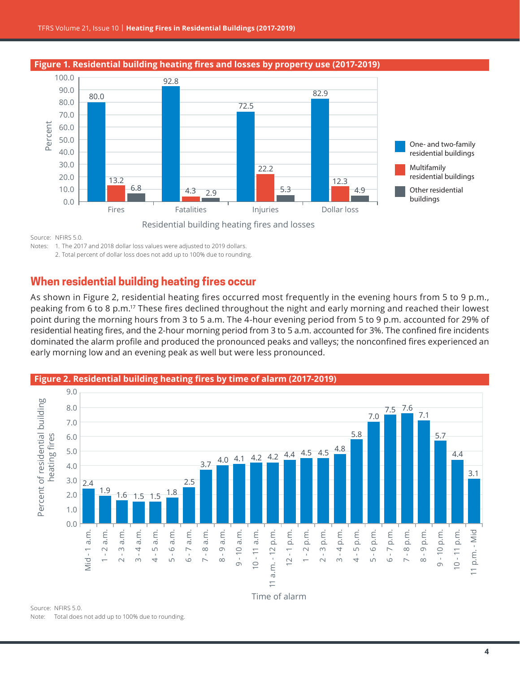<span id="page-3-0"></span>

Source: NFIRS 5.0.

Notes: 1. The 2017 and 2018 dollar loss values were adjusted to 2019 dollars.

2. Total percent of dollar loss does not add up to 100% due to rounding.

# **When residential building heating fires occur**

As shown in Figure 2, residential heating fires occurred most frequently in the evening hours from 5 to 9 p.m., peaking from 6 to 8 p.m[.17](#page-13-0) These fires declined throughout the night and early morning and reached their lowest point during the morning hours from 3 to 5 a.m. The 4-hour evening period from 5 to 9 p.m. accounted for 29% of residential heating fires, and the 2-hour morning period from 3 to 5 a.m. accounted for 3%. The confined fire incidents dominated the alarm profile and produced the pronounced peaks and valleys; the nonconfined fires experienced an early morning low and an evening peak as well but were less pronounced.



Note: Total does not add up to 100% due to rounding.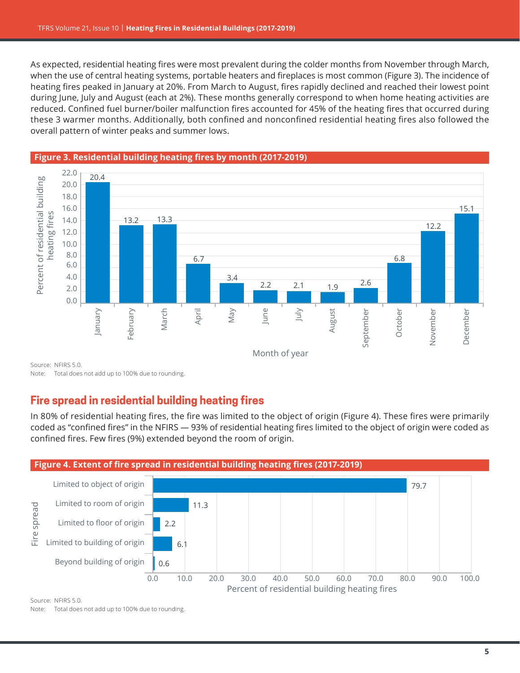As expected, residential heating fires were most prevalent during the colder months from November through March, when the use of central heating systems, portable heaters and fireplaces is most common (Figure 3). The incidence of heating fires peaked in January at 20%. From March to August, fires rapidly declined and reached their lowest point during June, July and August (each at 2%). These months generally correspond to when home heating activities are reduced. Confined fuel burner/boiler malfunction fires accounted for 45% of the heating fires that occurred during these 3 warmer months. Additionally, both confined and nonconfined residential heating fires also followed the overall pattern of winter peaks and summer lows.



Note: Total does not add up to 100% due to rounding.

# **Fire spread in residential building heating fires**

In 80% of residential heating fires, the fire was limited to the object of origin (Figure 4). These fires were primarily coded as "confined fires" in the NFIRS — 93% of residential heating fires limited to the object of origin were coded as confined fires. Few fires (9%) extended beyond the room of origin.



Source: NFIRS 5.0.

Note: Total does not add up to 100% due to rounding.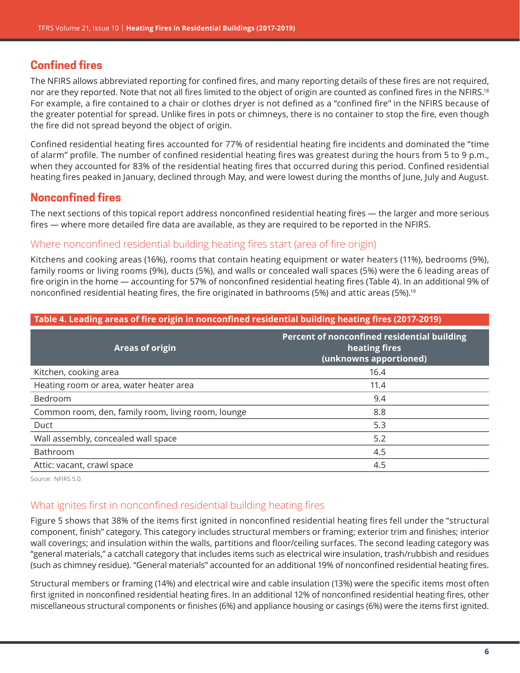# <span id="page-5-0"></span>**Confined fires**

The NFIRS allows abbreviated reporting for confined fires, and many reporting details of these fires are not required, nor are they reported. Note that not all fires limited to the object of origin are counted as confined fires in the NFIRS.<sup>[18](#page-14-0)</sup> For example, a fire contained to a chair or clothes dryer is not defined as a "confined fire" in the NFIRS because of the greater potential for spread. Unlike fires in pots or chimneys, there is no container to stop the fire, even though the fire did not spread beyond the object of origin.

Confined residential heating fires accounted for 77% of residential heating fire incidents and dominated the "time of alarm" profile. The number of confined residential heating fires was greatest during the hours from 5 to 9 p.m., when they accounted for 83% of the residential heating fires that occurred during this period. Confined residential heating fires peaked in January, declined through May, and were lowest during the months of June, July and August.

# **Nonconfined fires**

The next sections of this topical report address nonconfined residential heating fires — the larger and more serious fires — where more detailed fire data are available, as they are required to be reported in the NFIRS.

## Where nonconfined residential building heating fires start (area of fire origin)

Kitchens and cooking areas (16%), rooms that contain heating equipment or water heaters (11%), bedrooms (9%), family rooms or living rooms (9%), ducts (5%), and walls or concealed wall spaces (5%) were the 6 leading areas of fire origin in the home — accounting for 57% of nonconfined residential heating fires (Table 4). In an additional 9% of nonconfined residential heating fires, the fire originated in bathrooms (5%) and attic areas (5%).<sup>[19](#page-14-0)</sup>

**Table 4. Leading areas of fire origin in nonconfined residential building heating fires (2017-2019)**

| <u>table 4. Ecuality di cas of the origin in honcommed residential bananty neating mes (2017-2019)</u> |                                                                                        |  |
|--------------------------------------------------------------------------------------------------------|----------------------------------------------------------------------------------------|--|
| <b>Areas of origin</b>                                                                                 | Percent of nonconfined residential building<br>heating fires<br>(unknowns apportioned) |  |
| Kitchen, cooking area                                                                                  | 16.4                                                                                   |  |
| Heating room or area, water heater area                                                                | 11.4                                                                                   |  |
| Bedroom                                                                                                | 9.4                                                                                    |  |
| Common room, den, family room, living room, lounge                                                     | 8.8                                                                                    |  |
| Duct                                                                                                   | 5.3                                                                                    |  |
| Wall assembly, concealed wall space                                                                    | 5.2                                                                                    |  |
| Bathroom                                                                                               | 4.5                                                                                    |  |
| Attic: vacant, crawl space                                                                             | 4.5                                                                                    |  |

Source: NFIRS 5.0.

# What ignites first in nonconfined residential building heating fires

Figure 5 shows that 38% of the items first ignited in nonconfined residential heating fires fell under the "structural component, finish" category. This category includes structural members or framing; exterior trim and finishes; interior wall coverings; and insulation within the walls, partitions and floor/ceiling surfaces. The second leading category was "general materials," a catchall category that includes items such as electrical wire insulation, trash/rubbish and residues (such as chimney residue). "General materials" accounted for an additional 19% of nonconfined residential heating fires.

Structural members or framing (14%) and electrical wire and cable insulation (13%) were the specific items most often first ignited in nonconfined residential heating fires. In an additional 12% of nonconfined residential heating fires, other miscellaneous structural components or finishes (6%) and appliance housing or casings (6%) were the items first ignited.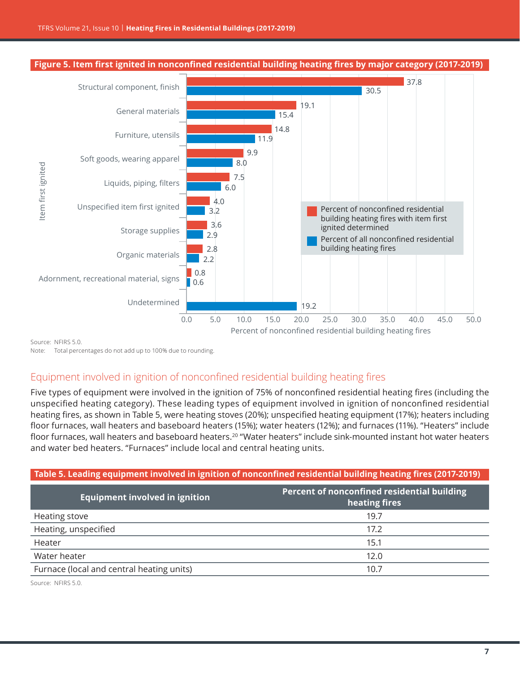<span id="page-6-0"></span>

Source: NFIRS 5.0.

Note: Total percentages do not add up to 100% due to rounding.

# Equipment involved in ignition of nonconfined residential building heating fires

Five types of equipment were involved in the ignition of 75% of nonconfined residential heating fires (including the unspecified heating category). These leading types of equipment involved in ignition of nonconfined residential heating fires, as shown in Table 5, were heating stoves (20%); unspecified heating equipment (17%); heaters including floor furnaces, wall heaters and baseboard heaters (15%); water heaters (12%); and furnaces (11%). "Heaters" include floor furnaces, wall heaters and baseboard heaters.<sup>[20](#page-14-0)</sup> "Water heaters" include sink-mounted instant hot water heaters and water bed heaters. "Furnaces" include local and central heating units.

#### **Table 5. Leading equipment involved in ignition of nonconfined residential building heating fires (2017-2019)**

| <b>Equipment involved in ignition</b>     | Percent of nonconfined residential building<br>heating fires |
|-------------------------------------------|--------------------------------------------------------------|
| Heating stove                             | 19.7                                                         |
| Heating, unspecified                      | 17.2                                                         |
| Heater                                    | 15.1                                                         |
| Water heater                              | 12.0                                                         |
| Furnace (local and central heating units) | 10.7                                                         |

Source: NFIRS 5.0.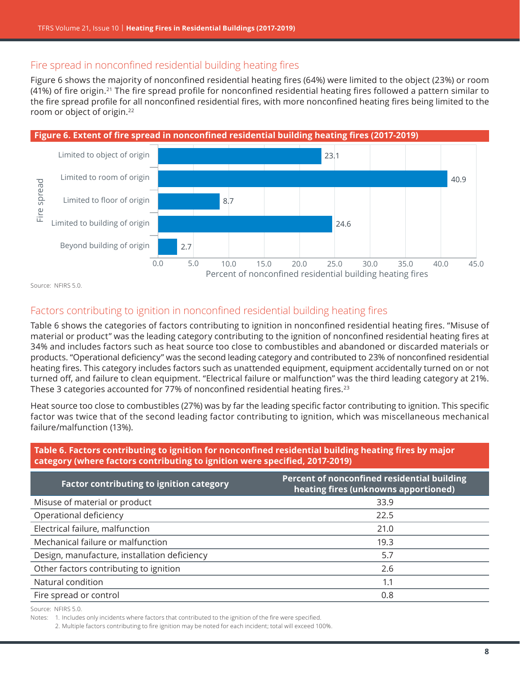# <span id="page-7-0"></span>Fire spread in nonconfined residential building heating fires

Figure 6 shows the majority of nonconfined residential heating fires (64%) were limited to the object (23%) or room (41%) of fire origin.[21](#page-14-0) The fire spread profile for nonconfined residential heating fires followed a pattern similar to the fire spread profile for all nonconfined residential fires, with more nonconfined heating fires being limited to the room or object of origin.<sup>[22](#page-14-0)</sup>



Source: NFIRS 5.0.

# Factors contributing to ignition in nonconfined residential building heating fires

Table 6 shows the categories of factors contributing to ignition in nonconfined residential heating fires. "Misuse of material or product" was the leading category contributing to the ignition of nonconfined residential heating fires at 34% and includes factors such as heat source too close to combustibles and abandoned or discarded materials or products. "Operational deficiency" was the second leading category and contributed to 23% of nonconfined residential heating fires. This category includes factors such as unattended equipment, equipment accidentally turned on or not turned off, and failure to clean equipment. "Electrical failure or malfunction" was the third leading category at 21%. These 3 categories accounted for 77% of nonconfined residential heating fires.<sup>[23](#page-14-0)</sup>

Heat source too close to combustibles (27%) was by far the leading specific factor contributing to ignition. This specific factor was twice that of the second leading factor contributing to ignition, which was miscellaneous mechanical failure/malfunction (13%).

#### **Table 6. Factors contributing to ignition for nonconfined residential building heating fires by major category (where factors contributing to ignition were specified, 2017-2019)**

| <b>Factor contributing to ignition category</b> | Percent of nonconfined residential building<br>heating fires (unknowns apportioned) |
|-------------------------------------------------|-------------------------------------------------------------------------------------|
| Misuse of material or product                   | 33.9                                                                                |
| Operational deficiency                          | 22.5                                                                                |
| Electrical failure, malfunction                 | 21.0                                                                                |
| Mechanical failure or malfunction               | 19.3                                                                                |
| Design, manufacture, installation deficiency    | 5.7                                                                                 |
| Other factors contributing to ignition          | 2.6                                                                                 |
| Natural condition                               | 1.1                                                                                 |
| Fire spread or control                          | 0.8                                                                                 |

Source: NFIRS 5.0.

Notes: 1. Includes only incidents where factors that contributed to the ignition of the fire were specified.

2. Multiple factors contributing to fire ignition may be noted for each incident; total will exceed 100%.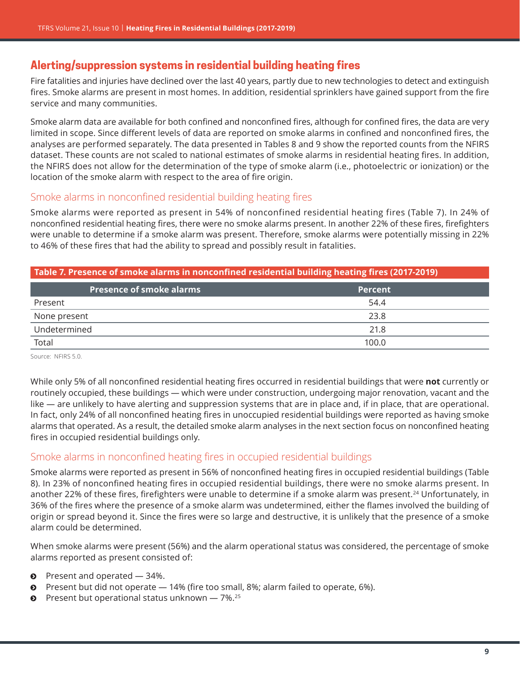# <span id="page-8-0"></span>**Alerting/suppression systems in residential building heating fires**

Fire fatalities and injuries have declined over the last 40 years, partly due to new technologies to detect and extinguish fires. Smoke alarms are present in most homes. In addition, residential sprinklers have gained support from the fire service and many communities.

Smoke alarm data are available for both confined and nonconfined fires, although for confined fires, the data are very limited in scope. Since different levels of data are reported on smoke alarms in confined and nonconfined fires, the analyses are performed separately. The data presented in Tables 8 and 9 show the reported counts from the NFIRS dataset. These counts are not scaled to national estimates of smoke alarms in residential heating fires. In addition, the NFIRS does not allow for the determination of the type of smoke alarm (i.e., photoelectric or ionization) or the location of the smoke alarm with respect to the area of fire origin.

## Smoke alarms in nonconfined residential building heating fires

Smoke alarms were reported as present in 54% of nonconfined residential heating fires (Table 7). In 24% of nonconfined residential heating fires, there were no smoke alarms present. In another 22% of these fires, firefighters were unable to determine if a smoke alarm was present. Therefore, smoke alarms were potentially missing in 22% to 46% of these fires that had the ability to spread and possibly result in fatalities.

#### **Table 7. Presence of smoke alarms in nonconfined residential building heating fires (2017-2019)**

| <b>Presence of smoke alarms</b> | <b>Percent</b> |
|---------------------------------|----------------|
| Present                         | 54.4           |
| None present                    | 23.8           |
| Undetermined                    | 21.8           |
| Total                           | 100.0          |

Source: NFIRS 5.0.

While only 5% of all nonconfined residential heating fires occurred in residential buildings that were **not** currently or routinely occupied, these buildings — which were under construction, undergoing major renovation, vacant and the like — are unlikely to have alerting and suppression systems that are in place and, if in place, that are operational. In fact, only 24% of all nonconfined heating fires in unoccupied residential buildings were reported as having smoke alarms that operated. As a result, the detailed smoke alarm analyses in the next section focus on nonconfined heating fires in occupied residential buildings only.

# Smoke alarms in nonconfined heating fires in occupied residential buildings

Smoke alarms were reported as present in 56% of nonconfined heating fires in occupied residential buildings (Table 8). In 23% of nonconfined heating fires in occupied residential buildings, there were no smoke alarms present. In another 22% of these fires, firefighters were unable to determine if a smoke alarm was present.<sup>[24](#page-14-0)</sup> Unfortunately, in 36% of the fires where the presence of a smoke alarm was undetermined, either the flames involved the building of origin or spread beyond it. Since the fires were so large and destructive, it is unlikely that the presence of a smoke alarm could be determined.

When smoke alarms were present (56%) and the alarm operational status was considered, the percentage of smoke alarms reported as present consisted of:

- $\bullet$  Present and operated  $-$  34%.
- $\odot$  Present but did not operate  $-$  14% (fire too small, 8%; alarm failed to operate, 6%).
- Present but operational status unknown  $-7\%$ .<sup>[25](#page-14-0)</sup>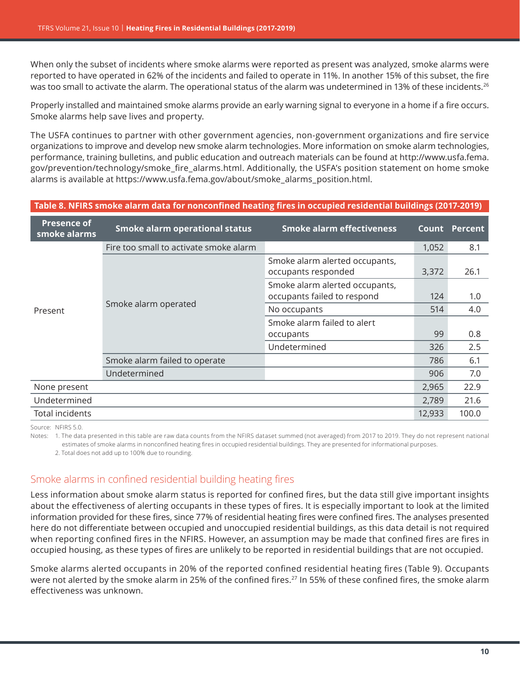<span id="page-9-0"></span>When only the subset of incidents where smoke alarms were reported as present was analyzed, smoke alarms were reported to have operated in 62% of the incidents and failed to operate in 11%. In another 15% of this subset, the fire was too small to activate the alarm. The operational status of the alarm was undetermined in 13% of these incidents.<sup>26</sup>

Properly installed and maintained smoke alarms provide an early warning signal to everyone in a home if a fire occurs. Smoke alarms help save lives and property.

The USFA continues to partner with other government agencies, non-government organizations and fire service organizations to improve and develop new smoke alarm technologies. More information on smoke alarm technologies, performance, training bulletins, and public education and outreach materials can be found at [http://www.usfa.fema.](http://www.usfa.fema.gov/prevention/technology/smoke_fire_alarms.html) [gov/prevention/technology/smoke\\_fire\\_alarms.html](http://www.usfa.fema.gov/prevention/technology/smoke_fire_alarms.html). Additionally, the USFA's position statement on home smoke alarms is available at [https://www.usfa.fema.gov/about/smoke\\_alarms\\_position.html](https://www.usfa.fema.gov/about/smoke_alarms_position.html).

#### **Table 8. NFIRS smoke alarm data for nonconfined heating fires in occupied residential buildings (2017-2019)**

| <b>Presence of</b><br>smoke alarms | <b>Smoke alarm operational status</b>  | <b>Smoke alarm effectiveness</b>                              | Count  | <b>Percent</b> |
|------------------------------------|----------------------------------------|---------------------------------------------------------------|--------|----------------|
|                                    | Fire too small to activate smoke alarm |                                                               | 1,052  | 8.1            |
| Present                            | Smoke alarm operated                   | Smoke alarm alerted occupants,<br>occupants responded         | 3,372  | 26.1           |
|                                    |                                        | Smoke alarm alerted occupants,<br>occupants failed to respond | 124    | 1.0            |
|                                    |                                        | No occupants                                                  | 514    | 4.0            |
|                                    |                                        | Smoke alarm failed to alert                                   |        |                |
|                                    |                                        | occupants                                                     | 99     | 0.8            |
|                                    |                                        | Undetermined                                                  | 326    | 2.5            |
|                                    | Smoke alarm failed to operate          |                                                               | 786    | 6.1            |
|                                    | Undetermined                           |                                                               | 906    | 7.0            |
| None present                       |                                        |                                                               | 2,965  | 22.9           |
| Undetermined                       |                                        |                                                               | 2,789  | 21.6           |
| <b>Total incidents</b>             |                                        |                                                               | 12,933 | 100.0          |

Source: NFIRS 5.0.

Notes: 1. The data presented in this table are raw data counts from the NFIRS dataset summed (not averaged) from 2017 to 2019. They do not represent national estimates of smoke alarms in nonconfined heating fires in occupied residential buildings. They are presented for informational purposes.

 2. Total does not add up to 100% due to rounding.

# Smoke alarms in confined residential building heating fires

Less information about smoke alarm status is reported for confined fires, but the data still give important insights about the effectiveness of alerting occupants in these types of fires. It is especially important to look at the limited information provided for these fires, since 77% of residential heating fires were confined fires. The analyses presented here do not differentiate between occupied and unoccupied residential buildings, as this data detail is not required when reporting confined fires in the NFIRS. However, an assumption may be made that confined fires are fires in occupied housing, as these types of fires are unlikely to be reported in residential buildings that are not occupied.

Smoke alarms alerted occupants in 20% of the reported confined residential heating fires (Table 9). Occupants were not alerted by the smoke alarm in 25% of the confined fires.<sup>[27](#page-14-0)</sup> In 55% of these confined fires, the smoke alarm effectiveness was unknown.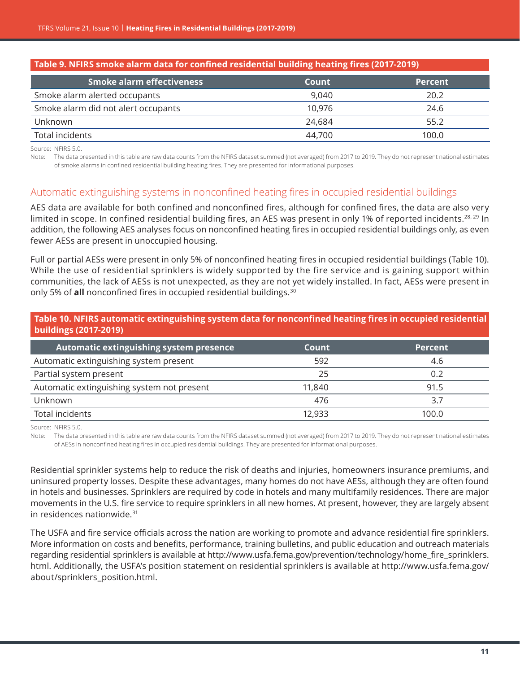<span id="page-10-0"></span>

| Table 9. NFIRS smoke alarm data for confined residential building heating fires (2017-2019) |        |                |
|---------------------------------------------------------------------------------------------|--------|----------------|
| <b>Smoke alarm effectiveness</b>                                                            | Count  | <b>Percent</b> |
| Smoke alarm alerted occupants                                                               | 9.040  | 20.2           |
| Smoke alarm did not alert occupants                                                         | 10.976 | 24.6           |
| Unknown                                                                                     | 24.684 | 55.2           |
| Total incidents                                                                             | 44,700 | 100.0          |

Source: NFIRS 5.0.

Note: The data presented in this table are raw data counts from the NFIRS dataset summed (not averaged) from 2017 to 2019. They do not represent national estimates of smoke alarms in confined residential building heating fires. They are presented for informational purposes.

#### Automatic extinguishing systems in nonconfined heating fires in occupied residential buildings

AES data are available for both confined and nonconfined fires, although for confined fires, the data are also very limited in scope. In confined residential building fires, an AES was present in only 1% of reported incidents.<sup>[28, 29](#page-14-0)</sup> In addition, the following AES analyses focus on nonconfined heating fires in occupied residential buildings only, as even fewer AESs are present in unoccupied housing.

Full or partial AESs were present in only 5% of nonconfined heating fires in occupied residential buildings (Table 10). While the use of residential sprinklers is widely supported by the fire service and is gaining support within communities, the lack of AESs is not unexpected, as they are not yet widely installed. In fact, AESs were present in only 5% of **all** nonconfined fires in occupied residential buildings.<sup>[30](#page-14-0)</sup>

| Table 10. NFIRS automatic extinguishing system data for nonconfined heating fires in occupied residential<br>buildings (2017-2019) |        |                |
|------------------------------------------------------------------------------------------------------------------------------------|--------|----------------|
| Automatic extinguishing system presence                                                                                            | Count  | <b>Percent</b> |
| Automatic extinguishing system present                                                                                             | 592    | 4.6            |
| Partial system present                                                                                                             | 25     | 0.2            |
| Automatic extinguishing system not present                                                                                         | 11,840 | 91.5           |
| Unknown                                                                                                                            | 476    | 3.7            |
| Total incidents                                                                                                                    | 12,933 | 100.0          |

Source: NFIRS 5.0.

Note: The data presented in this table are raw data counts from the NFIRS dataset summed (not averaged) from 2017 to 2019. They do not represent national estimates of AESs in nonconfined heating fires in occupied residential buildings. They are presented for informational purposes.

Residential sprinkler systems help to reduce the risk of deaths and injuries, homeowners insurance premiums, and uninsured property losses. Despite these advantages, many homes do not have AESs, although they are often found in hotels and businesses. Sprinklers are required by code in hotels and many multifamily residences. There are major movements in the U.S. fire service to require sprinklers in all new homes. At present, however, they are largely absent in residences nationwide.[31](#page-14-0)

The USFA and fire service officials across the nation are working to promote and advance residential fire sprinklers. More information on costs and benefits, performance, training bulletins, and public education and outreach materials regarding residential sprinklers is available at [http://www.usfa.fema.gov/prevention/technology/home\\_fire\\_sprinklers.](http://www.usfa.fema.gov/prevention/technology/home_fire_sprinklers.html) [html.](http://www.usfa.fema.gov/prevention/technology/home_fire_sprinklers.html) Additionally, the USFA's position statement on residential sprinklers is available at [http://www.usfa.fema.gov/](http://www.usfa.fema.gov/about/sprinklers_position.html) [about/sprinklers\\_position.html](http://www.usfa.fema.gov/about/sprinklers_position.html).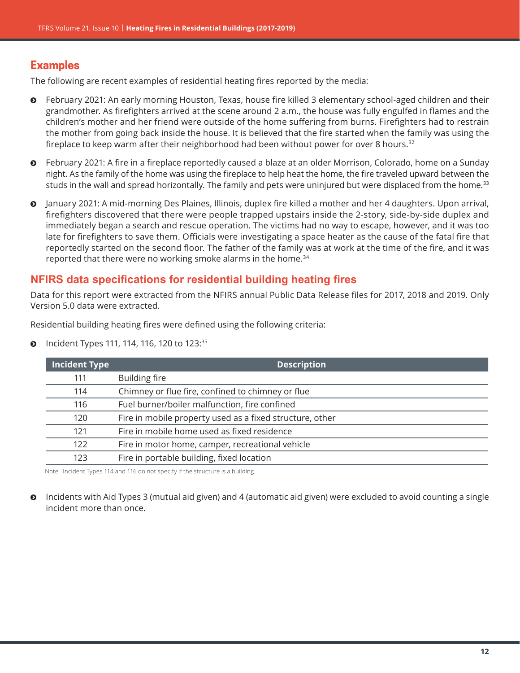# <span id="page-11-0"></span>**Examples**

The following are recent examples of residential heating fires reported by the media:

- February 2021: An early morning Houston, Texas, house fire killed 3 elementary school-aged children and their grandmother. As firefighters arrived at the scene around 2 a.m., the house was fully engulfed in flames and the children's mother and her friend were outside of the home suffering from burns. Firefighters had to restrain the mother from going back inside the house. It is believed that the fire started when the family was using the fireplace to keep warm after their neighborhood had been without power for over 8 hours.<sup>[32](#page-14-0)</sup>
- ĵ February 2021: A fire in a fireplace reportedly caused a blaze at an older Morrison, Colorado, home on a Sunday night. As the family of the home was using the fireplace to help heat the home, the fire traveled upward between the studs in the wall and spread horizontally. The family and pets were uninjured but were displaced from the home.<sup>[33](#page-14-0)</sup>
- ĵ January 2021: A mid-morning Des Plaines, Illinois, duplex fire killed a mother and her 4 daughters. Upon arrival, firefighters discovered that there were people trapped upstairs inside the 2-story, side-by-side duplex and immediately began a search and rescue operation. The victims had no way to escape, however, and it was too late for firefighters to save them. Officials were investigating a space heater as the cause of the fatal fire that reportedly started on the second floor. The father of the family was at work at the time of the fire, and it was reported that there were no working smoke alarms in the home.<sup>[34](#page-14-0)</sup>

## **NFIRS data specifications for residential building heating fires**

Data for this report were extracted from the NFIRS annual Public Data Release files for 2017, 2018 and 2019. Only Version 5.0 data were extracted.

Residential building heating fires were defined using the following criteria:

• Incident Types 111, 114, 116, 120 to 123:[35](#page-14-0)

| <b>Incident Type</b> | <b>Description</b>                                       |
|----------------------|----------------------------------------------------------|
| 111                  | <b>Building fire</b>                                     |
| 114                  | Chimney or flue fire, confined to chimney or flue        |
| 116                  | Fuel burner/boiler malfunction, fire confined            |
| 120                  | Fire in mobile property used as a fixed structure, other |
| 121                  | Fire in mobile home used as fixed residence              |
| 122                  | Fire in motor home, camper, recreational vehicle         |
| 123                  | Fire in portable building, fixed location                |

Note: Incident Types 114 and 116 do not specify if the structure is a building.

 $\odot$  Incidents with Aid Types 3 (mutual aid given) and 4 (automatic aid given) were excluded to avoid counting a single incident more than once.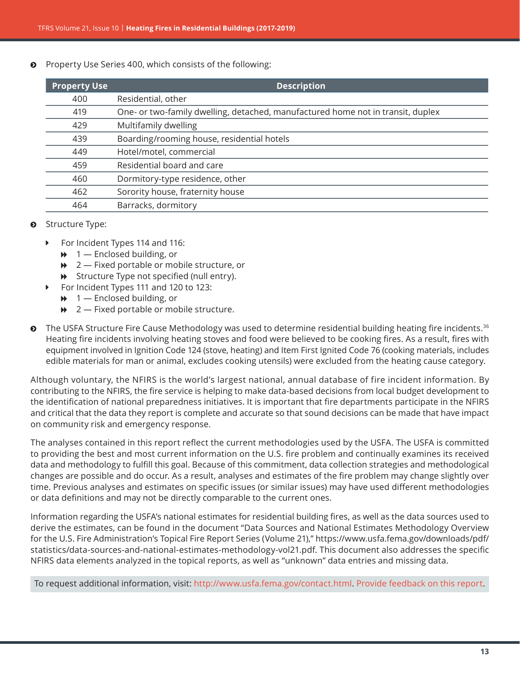<span id="page-12-0"></span>Property Use Series 400, which consists of the following:

| <b>Property Use</b> | <b>Description</b>                                                              |
|---------------------|---------------------------------------------------------------------------------|
| 400                 | Residential, other                                                              |
| 419                 | One- or two-family dwelling, detached, manufactured home not in transit, duplex |
| 429                 | Multifamily dwelling                                                            |
| 439                 | Boarding/rooming house, residential hotels                                      |
| 449                 | Hotel/motel, commercial                                                         |
| 459                 | Residential board and care                                                      |
| 460                 | Dormitory-type residence, other                                                 |
| 462                 | Sorority house, fraternity house                                                |
| 464                 | Barracks, dormitory                                                             |

#### $\odot$  Structure Type:

- ▶ For Incident Types 114 and 116:
	- $\rightarrow$  1 Enclosed building, or
	- $\rightarrow$  2 Fixed portable or mobile structure, or
	- $\rightarrow$  Structure Type not specified (null entry).
- ▶ For Incident Types 111 and 120 to 123:
	- $\rightarrow$  1 Enclosed building, or
	- $\rightarrow$  2 Fixed portable or mobile structure.
- $\bullet$  The USFA Structure Fire Cause Methodology was used to determine residential building heating fire incidents.<sup>[36](#page-14-0)</sup> Heating fire incidents involving heating stoves and food were believed to be cooking fires. As a result, fires with equipment involved in Ignition Code 124 (stove, heating) and Item First Ignited Code 76 (cooking materials, includes edible materials for man or animal, excludes cooking utensils) were excluded from the heating cause category.

Although voluntary, the NFIRS is the world's largest national, annual database of fire incident information. By contributing to the NFIRS, the fire service is helping to make data-based decisions from local budget development to the identification of national preparedness initiatives. It is important that fire departments participate in the NFIRS and critical that the data they report is complete and accurate so that sound decisions can be made that have impact on community risk and emergency response.

The analyses contained in this report reflect the current methodologies used by the USFA. The USFA is committed to providing the best and most current information on the U.S. fire problem and continually examines its received data and methodology to fulfill this goal. Because of this commitment, data collection strategies and methodological changes are possible and do occur. As a result, analyses and estimates of the fire problem may change slightly over time. Previous analyses and estimates on specific issues (or similar issues) may have used different methodologies or data definitions and may not be directly comparable to the current ones.

Information regarding the USFA's national estimates for residential building fires, as well as the data sources used to derive the estimates, can be found in the document "Data Sources and National Estimates Methodology Overview for the U.S. Fire Administration's Topical Fire Report Series (Volume 21)," [https://www.usfa.fema.gov/downloads/pdf/](https://www.usfa.fema.gov/downloads/pdf/statistics/data-sources-and-national-estimates-methodology-vol21.pdf) [statistics/data-sources-and-national-estimates-methodology-vol21.pdf](https://www.usfa.fema.gov/downloads/pdf/statistics/data-sources-and-national-estimates-methodology-vol21.pdf). This document also addresses the specific NFIRS data elements analyzed in the topical reports, as well as "unknown" data entries and missing data.

To request additional information, visit:<http://www.usfa.fema.gov/contact.html>. [Provide feedback on this report.](http://apps.usfa.fema.gov/contact/dataReportEval?reportTitle=Heating%20Fires%20in%20Residential%20Buildings%20(2017-2019))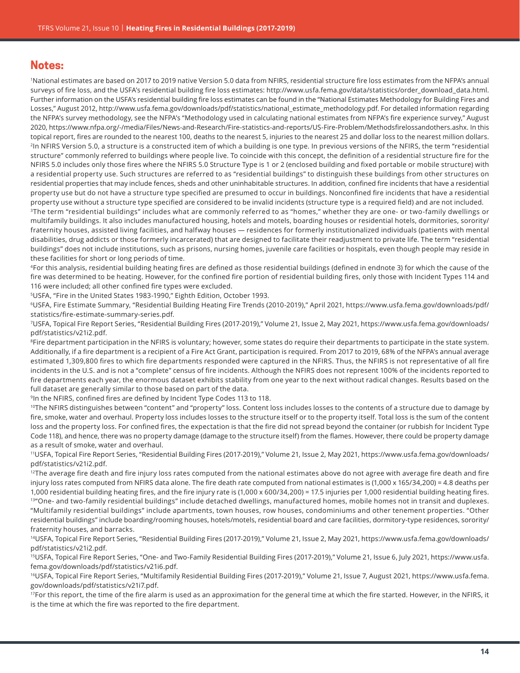## <span id="page-13-0"></span>**Notes:**

1 National estimates are based on 2017 to 2019 native Version 5.0 data from NFIRS, residential structure fire loss estimates from the NFPA's annual surveys of fire loss, and the USFA's residential building fire loss estimates: [http://www.usfa.fema.gov/data/statistics/order\\_download\\_data.html](http://www.usfa.fema.gov/data/statistics/order_download_data.html). Further information on the USFA's residential building fire loss estimates can be found in the "National Estimates Methodology for Building Fires and Losses," August 2012, [http://www.usfa.fema.gov/downloads/pdf/statistics/national\\_estimate\\_methodology.pdf](http://www.usfa.fema.gov/downloads/pdf/statistics/national_estimate_methodology.pdf). For detailed information regarding the NFPA's survey methodology, see the NFPA's "Methodology used in calculating national estimates from NFPA's fire experience survey," August 2020, <https://www.nfpa.org/-/media/Files/News-and-Research/Fire-statistics-and-reports/US-Fire-Problem/Methodsfirelossandothers.ashx>. In this topical report, fires are rounded to the nearest 100, deaths to the nearest 5, injuries to the nearest 25 and dollar loss to the nearest million dollars. <sup>2</sup>In NFIRS Version 5.0, a structure is a constructed item of which a building is one type. In previous versions of the NFIRS, the term "residential structure" commonly referred to buildings where people live. To coincide with this concept, the definition of a residential structure fire for the NFIRS 5.0 includes only those fires where the NFIRS 5.0 Structure Type is 1 or 2 (enclosed building and fixed portable or mobile structure) with a residential property use. Such structures are referred to as "residential buildings" to distinguish these buildings from other structures on residential properties that may include fences, sheds and other uninhabitable structures. In addition, confined fire incidents that have a residential property use but do not have a structure type specified are presumed to occur in buildings. Nonconfined fire incidents that have a residential property use without a structure type specified are considered to be invalid incidents (structure type is a required field) and are not included.

<sup>[3](#page-0-0)</sup>The term "residential buildings" includes what are commonly referred to as "homes," whether they are one- or two-family dwellings or multifamily buildings. It also includes manufactured housing, hotels and motels, boarding houses or residential hotels, dormitories, sorority/ fraternity houses, assisted living facilities, and halfway houses — residences for formerly institutionalized individuals (patients with mental disabilities, drug addicts or those formerly incarcerated) that are designed to facilitate their readjustment to private life. The term "residential buildings" does not include institutions, such as prisons, nursing homes, juvenile care facilities or hospitals, even though people may reside in these facilities for short or long periods of time.

[4](#page-0-0)For this analysis, residential building heating fires are defined as those residential buildings (defined in endnote 3) for which the cause of the fire was determined to be heating. However, for the confined fire portion of residential building fires, only those with Incident Types 114 and 116 were included; all other confined fire types were excluded.

[5](#page-0-0)USFA, "Fire in the United States 1983-1990," Eighth Edition, October 1993.

[6](#page-0-0)USFA, Fire Estimate Summary, "Residential Building Heating Fire Trends (2010-2019)," April 2021, [https://www.usfa.fema.gov/downloads/pdf/](https://www.usfa.fema.gov/downloads/pdf/statistics/fire-estimate-summary-series.pdf) [statistics/fire-estimate-summary-series.pdf](https://www.usfa.fema.gov/downloads/pdf/statistics/fire-estimate-summary-series.pdf).

[7](#page-0-0)USFA, Topical Fire Report Series, "Residential Building Fires (2017-2019)," Volume 21, Issue 2, May 2021, [https://www.usfa.fema.gov/downloads/](https://www.usfa.fema.gov/downloads/pdf/statistics/v21i2.pdf) [pdf/statistics/v21i2.pdf](https://www.usfa.fema.gov/downloads/pdf/statistics/v21i2.pdf).

<sup>[8](#page-1-0)</sup>Fire department participation in the NFIRS is voluntary; however, some states do require their departments to participate in the state system. Additionally, if a fire department is a recipient of a Fire Act Grant, participation is required. From 2017 to 2019, 68% of the NFPA's annual average estimated 1,309,800 fires to which fire departments responded were captured in the NFIRS. Thus, the NFIRS is not representative of all fire incidents in the U.S. and is not a "complete" census of fire incidents. Although the NFIRS does not represent 100% of the incidents reported to fire departments each year, the enormous dataset exhibits stability from one year to the next without radical changes. Results based on the full dataset are generally similar to those based on part of the data.

[9](#page-1-0)In the NFIRS, confined fires are defined by Incident Type Codes 113 to 118.

<sup>[10](#page-1-0)</sup>The NFIRS distinguishes between "content" and "property" loss. Content loss includes losses to the contents of a structure due to damage by fire, smoke, water and overhaul. Property loss includes losses to the structure itself or to the property itself. Total loss is the sum of the content loss and the property loss. For confined fires, the expectation is that the fire did not spread beyond the container (or rubbish for Incident Type Code 118), and hence, there was no property damage (damage to the structure itself) from the flames. However, there could be property damage as a result of smoke, water and overhaul.

<sup>11</sup>USFA, Topical Fire Report Series, "Residential Building Fires (2017-2019)," Volume 21, Issue 2, May 2021, [https://www.usfa.fema.gov/downloads/](https://www.usfa.fema.gov/downloads/pdf/statistics/v21i2.pdf) [pdf/statistics/v21i2.pdf](https://www.usfa.fema.gov/downloads/pdf/statistics/v21i2.pdf).

<sup>[12](#page-2-0)</sup>The average fire death and fire injury loss rates computed from the national estimates above do not agree with average fire death and fire injury loss rates computed from NFIRS data alone. The fire death rate computed from national estimates is (1,000 x 165/34,200) = 4.8 deaths per 1,000 residential building heating fires, and the fire injury rate is (1,000 x 600/34,200) = 17.5 injuries per 1,000 residential building heating fires. [13](#page-2-0)" One- and two-family residential buildings" include detached dwellings, manufactured homes, mobile homes not in transit and duplexes. "Multifamily residential buildings" include apartments, town houses, row houses, condominiums and other tenement properties. "Other residential buildings" include boarding/rooming houses, hotels/motels, residential board and care facilities, dormitory-type residences, sorority/ fraternity houses, and barracks.

[14](#page-2-0)USFA, Topical Fire Report Series, "Residential Building Fires (2017-2019)," Volume 21, Issue 2, May 2021, [https://www.usfa.fema.gov/downloads/](https://www.usfa.fema.gov/downloads/pdf/statistics/v21i2.pdf) [pdf/statistics/v21i2.pdf](https://www.usfa.fema.gov/downloads/pdf/statistics/v21i2.pdf).

[15](#page-2-0)USFA, Topical Fire Report Series, "One- and Two-Family Residential Building Fires (2017-2019)," Volume 21, Issue 6, July 2021, [https://www.usfa.](https://www.usfa.fema.gov/downloads/pdf/statistics/v21i6.pdf) [fema.gov/downloads/pdf/statistics/v21i6.pdf](https://www.usfa.fema.gov/downloads/pdf/statistics/v21i6.pdf).

[16](#page-2-0)USFA, Topical Fire Report Series, "Multifamily Residential Building Fires (2017-2019)," Volume 21, Issue 7, August 2021, [https://www.usfa.fema.](https://www.usfa.fema.gov/downloads/pdf/statistics/v21i7.pdf) [gov/downloads/pdf/statistics/v21i7.pdf](https://www.usfa.fema.gov/downloads/pdf/statistics/v21i7.pdf).

<sup>[17](#page-3-0)</sup>For this report, the time of the fire alarm is used as an approximation for the general time at which the fire started. However, in the NFIRS, it is the time at which the fire was reported to the fire department.